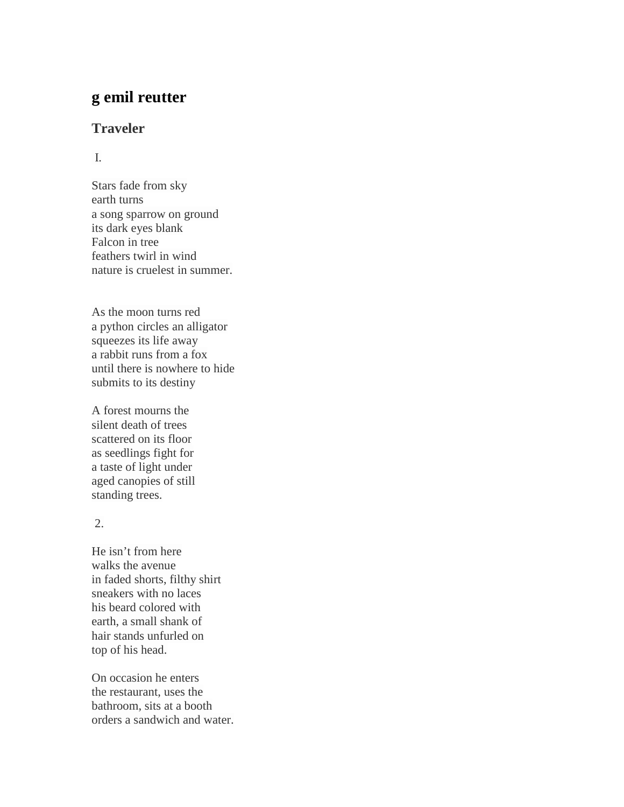# **g emil reutter**

## **Traveler**

### I.

Stars fade from sky earth turns a song sparrow on ground its dark eyes blank Falcon in tree feathers twirl in wind nature is cruelest in summer.

As the moon turns red a python circles an alligator squeezes its life away a rabbit runs from a fox until there is nowhere to hide submits to its destiny

A forest mourns the silent death of trees scattered on its floor as seedlings fight for a taste of light under aged canopies of still standing trees.

## 2.

He isn't from here walks the avenue in faded shorts, filthy shirt sneakers with no laces his beard colored with earth, a small shank of hair stands unfurled on top of his head.

On occasion he enters the restaurant, uses the bathroom, sits at a booth orders a sandwich and water.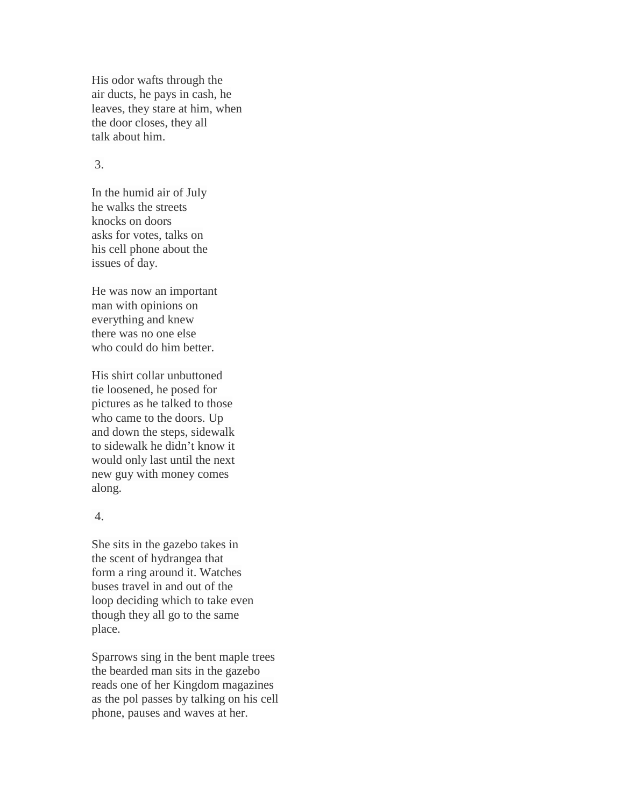His odor wafts through the air ducts, he pays in cash, he leaves, they stare at him, when the door closes, they all talk about him.

#### 3.

In the humid air of July he walks the streets knocks on doors asks for votes, talks on his cell phone about the issues of day.

He was now an important man with opinions on everything and knew there was no one else who could do him better.

His shirt collar unbuttoned tie loosened, he posed for pictures as he talked to those who came to the doors. Up and down the steps, sidewalk to sidewalk he didn't know it would only last until the next new guy with money comes along.

#### 4.

She sits in the gazebo takes in the scent of hydrangea that form a ring around it. Watches buses travel in and out of the loop deciding which to take even though they all go to the same place.

Sparrows sing in the bent maple trees the bearded man sits in the gazebo reads one of her Kingdom magazines as the pol passes by talking on his cell phone, pauses and waves at her.